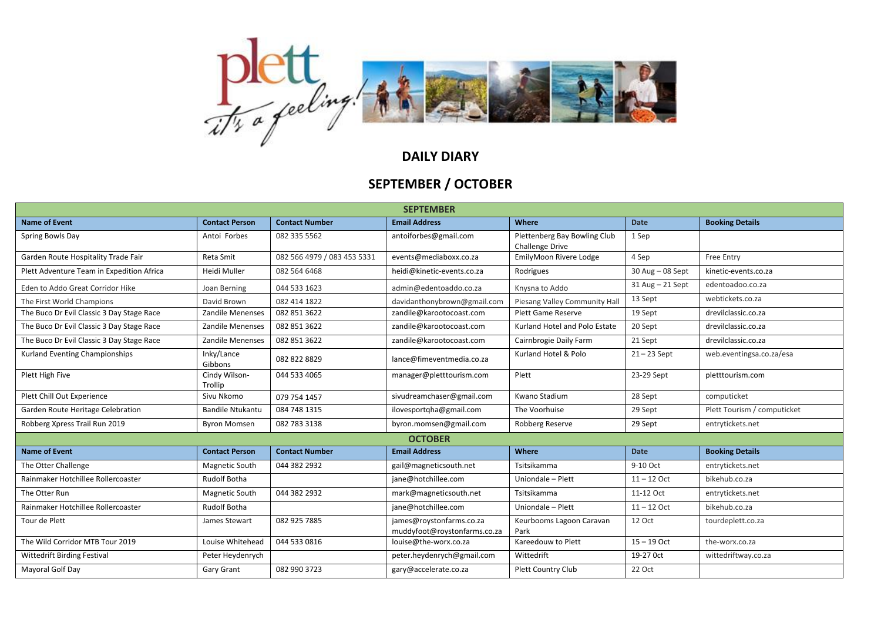

## **DAILY DIARY**

## **SEPTEMBER / OCTOBER**

| <b>SEPTEMBER</b>                          |                          |                             |                                                          |                                                        |                  |                             |  |  |  |  |
|-------------------------------------------|--------------------------|-----------------------------|----------------------------------------------------------|--------------------------------------------------------|------------------|-----------------------------|--|--|--|--|
| <b>Name of Event</b>                      | <b>Contact Person</b>    | <b>Contact Number</b>       | <b>Email Address</b>                                     | Where                                                  | <b>Date</b>      | <b>Booking Details</b>      |  |  |  |  |
| Spring Bowls Day                          | Antoi Forbes             | 082 335 5562                | antoiforbes@gmail.com                                    | Plettenberg Bay Bowling Club<br><b>Challenge Drive</b> | 1 Sep            |                             |  |  |  |  |
| Garden Route Hospitality Trade Fair       | Reta Smit                | 082 566 4979 / 083 453 5331 | events@mediaboxx.co.za                                   | EmilyMoon Rivere Lodge                                 | 4 Sep            | Free Entry                  |  |  |  |  |
| Plett Adventure Team in Expedition Africa | Heidi Muller             | 082 564 6468                | heidi@kinetic-events.co.za                               | Rodrigues                                              | 30 Aug - 08 Sept | kinetic-events.co.za        |  |  |  |  |
| Eden to Addo Great Corridor Hike          | Joan Berning             | 044 533 1623                | admin@edentoaddo.co.za                                   | Knysna to Addo                                         | 31 Aug - 21 Sept | edentoadoo.co.za            |  |  |  |  |
| The First World Champions                 | David Brown              | 082 414 1822                | davidanthonybrown@gmail.com                              | Piesang Valley Community Hall                          | 13 Sept          | webtickets.co.za            |  |  |  |  |
| The Buco Dr Evil Classic 3 Day Stage Race | <b>Zandile Menenses</b>  | 082 851 3622                | zandile@karootocoast.com                                 | Plett Game Reserve                                     | 19 Sept          | drevilclassic.co.za         |  |  |  |  |
| The Buco Dr Evil Classic 3 Day Stage Race | Zandile Menenses         | 082 851 3622                | zandile@karootocoast.com                                 | Kurland Hotel and Polo Estate                          | 20 Sept          | drevilclassic.co.za         |  |  |  |  |
| The Buco Dr Evil Classic 3 Day Stage Race | Zandile Menenses         | 082 851 3622                | zandile@karootocoast.com                                 | Cairnbrogie Daily Farm                                 | 21 Sept          | drevilclassic.co.za         |  |  |  |  |
| Kurland Eventing Championships            | Inky/Lance<br>Gibbons    | 082 822 8829                | lance@fimeventmedia.co.za                                | Kurland Hotel & Polo                                   | $21 - 23$ Sept   | web.eventingsa.co.za/esa    |  |  |  |  |
| Plett High Five                           | Cindy Wilson-<br>Trollip | 044 533 4065                | manager@pletttourism.com                                 | Plett                                                  | 23-29 Sept       | pletttourism.com            |  |  |  |  |
| Plett Chill Out Experience                | Sivu Nkomo               | 079 754 1457                | sivudreamchaser@gmail.com                                | Kwano Stadium                                          | 28 Sept          | computicket                 |  |  |  |  |
| Garden Route Heritage Celebration         | <b>Bandile Ntukantu</b>  | 084 748 1315                | ilovesportgha@gmail.com                                  | The Voorhuise                                          | 29 Sept          | Plett Tourism / computicket |  |  |  |  |
| Robberg Xpress Trail Run 2019             | <b>Byron Momsen</b>      | 082 783 3138                | byron.momsen@gmail.com                                   | Robberg Reserve                                        | 29 Sept          | entrytickets.net            |  |  |  |  |
| <b>OCTOBER</b>                            |                          |                             |                                                          |                                                        |                  |                             |  |  |  |  |
| <b>Name of Event</b>                      | <b>Contact Person</b>    | <b>Contact Number</b>       | <b>Email Address</b>                                     | Where                                                  | <b>Date</b>      | <b>Booking Details</b>      |  |  |  |  |
| The Otter Challenge                       | Magnetic South           | 044 382 2932                | gail@magneticsouth.net                                   | Tsitsikamma                                            | 9-10 Oct         | entrytickets.net            |  |  |  |  |
| Rainmaker Hotchillee Rollercoaster        | <b>Rudolf Botha</b>      |                             | jane@hotchillee.com                                      | Uniondale - Plett                                      | $11 - 12$ Oct    | bikehub.co.za               |  |  |  |  |
| The Otter Run                             | Magnetic South           | 044 382 2932                | mark@magneticsouth.net                                   | Tsitsikamma                                            | 11-12 Oct        | entrytickets.net            |  |  |  |  |
| Rainmaker Hotchillee Rollercoaster        | <b>Rudolf Botha</b>      |                             | jane@hotchillee.com                                      | Uniondale - Plett                                      | $11 - 12$ Oct    | bikehub.co.za               |  |  |  |  |
| Tour de Plett                             | James Stewart            | 082 925 7885                | james@roystonfarms.co.za<br>muddyfoot@roystonfarms.co.za | Keurbooms Lagoon Caravan<br>Park                       | 12 Oct           | tourdeplett.co.za           |  |  |  |  |
| The Wild Corridor MTB Tour 2019           | Louise Whitehead         | 044 533 0816                | louise@the-worx.co.za                                    | Kareedouw to Plett                                     | $15 - 19$ Oct    | the-worx.co.za              |  |  |  |  |
| Wittedrift Birding Festival               | Peter Heydenrych         |                             | peter.heydenrych@gmail.com                               | Wittedrift                                             | 19-27 0ct        | wittedriftway.co.za         |  |  |  |  |
| Mayoral Golf Day                          | Gary Grant               | 082 990 3723                | gary@accelerate.co.za                                    | Plett Country Club                                     | 22 Oct           |                             |  |  |  |  |